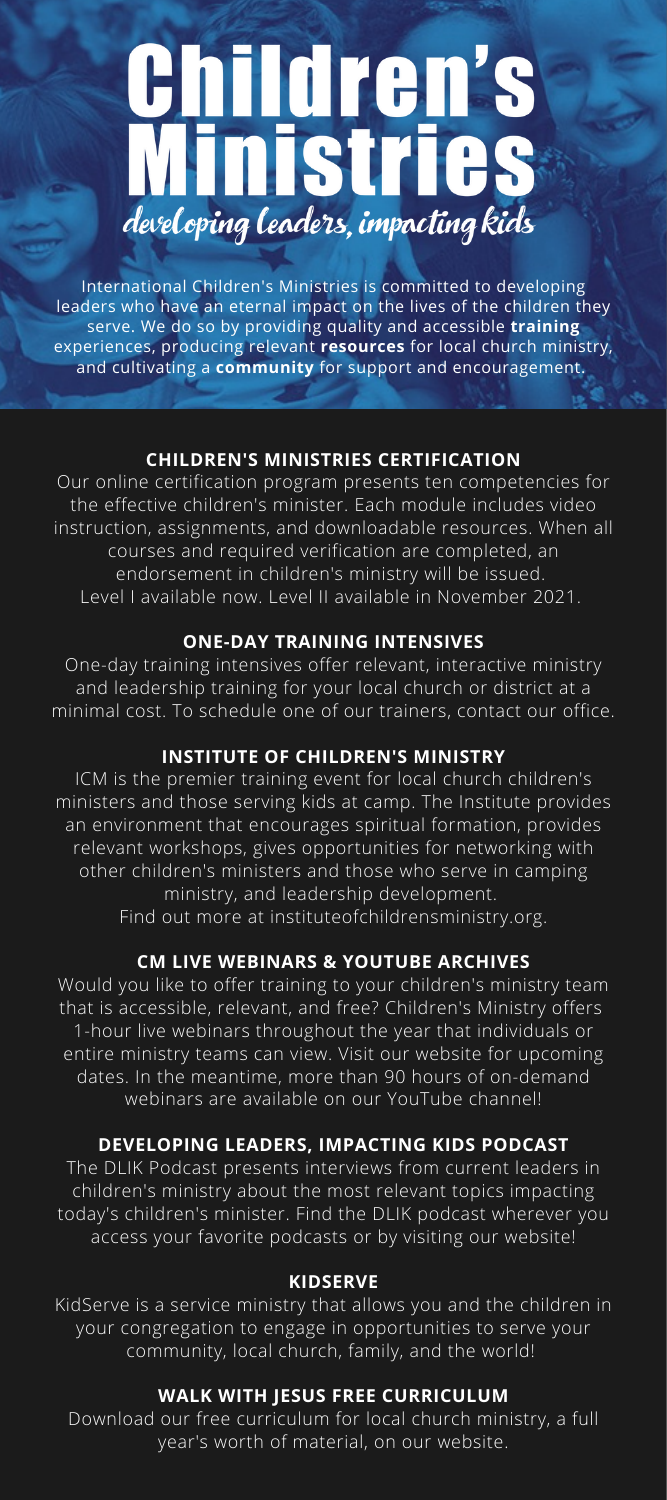# **Children's<br>Ministries** developing leaders, impacting kids

International Children's Ministries is committed to developing leaders who have an eternal impact on the lives of the children they serve. We do so by providing quality and accessible **training** experiences, producing relevant **resources** for local church ministry, and cultivating a **community** for support and encouragement.

#### **CHILDREN'S MINISTRIES CERTIFICATION**

Our online certification program presents ten competencies for the effective children's minister. Each module includes video instruction, assignments, and downloadable resources. When all courses and required verification are completed, an endorsement in children's ministry will be issued. Level I available now. Level II available in November 2021.

### **ONE-DAY TRAINING INTENSIVES**

One-day training intensives offer relevant, interactive ministry and leadership training for your local church or district at a minimal cost. To schedule one of our trainers, contact our office.

## **INSTITUTE OF CHILDREN'S MINISTRY**

ICM is the premier training event for local church children's ministers and those serving kids at camp. The Institute provides an environment that encourages spiritual formation, provides relevant workshops, gives opportunities for networking with other children's ministers and those who serve in camping ministry, and leadership development. Find out more at instituteofchildrensministry.org.

#### **CM LIVE WEBINARS & YOUTUBE ARCHIVES**

Would you like to offer training to your children's ministry team that is accessible, relevant, and free? Children's Ministry offers 1-hour live webinars throughout the year that individuals or entire ministry teams can view. Visit our website for upcoming dates. In the meantime, more than 90 hours of on-demand webinars are available on our YouTube channel!

#### **DEVELOPING LEADERS, IMPACTING KIDS PODCAST**

The DLIK Podcast presents interviews from current leaders in children's ministry about the most relevant topics impacting today's children's minister. Find the DLIK podcast wherever you access your favorite podcasts or by visiting our website!

#### **KIDSERVE**

KidServe is a service ministry that allows you and the children in your congregation to engage in opportunities to serve your community, local church, family, and the world!

#### **WALK WITH JESUS FREE CURRICULUM**

Download our free curriculum for local church ministry, a full year's worth of material, on our website.